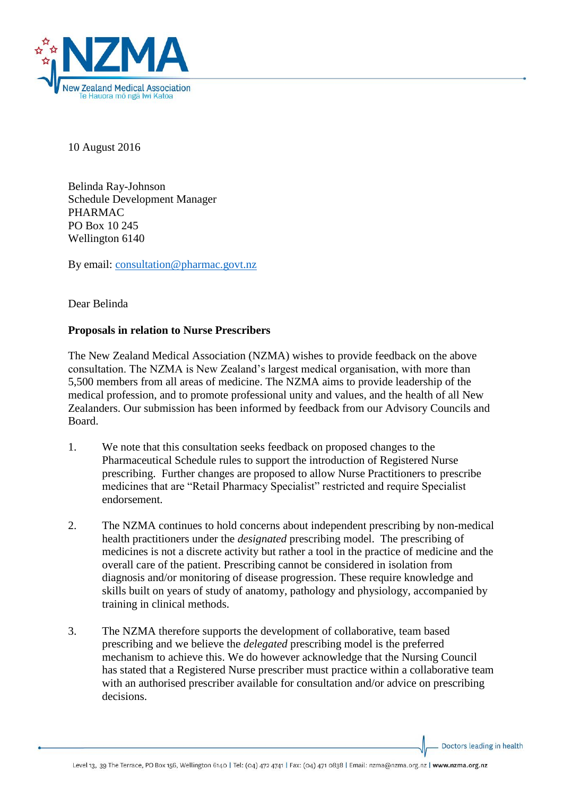

10 August 2016

Belinda Ray-Johnson Schedule Development Manager PHARMAC PO Box 10 245 Wellington 6140

By email: [consultation@pharmac.govt.nz](mailto:consultation@pharmac.govt.nz)

Dear Belinda

## **Proposals in relation to Nurse Prescribers**

The New Zealand Medical Association (NZMA) wishes to provide feedback on the above consultation. The NZMA is New Zealand's largest medical organisation, with more than 5,500 members from all areas of medicine. The NZMA aims to provide leadership of the medical profession, and to promote professional unity and values, and the health of all New Zealanders. Our submission has been informed by feedback from our Advisory Councils and Board.

- 1. We note that this consultation seeks feedback on proposed changes to the Pharmaceutical Schedule rules to support the introduction of Registered Nurse prescribing. Further changes are proposed to allow Nurse Practitioners to prescribe medicines that are "Retail Pharmacy Specialist" restricted and require Specialist endorsement.
- 2. The NZMA continues to hold concerns about independent prescribing by non-medical health practitioners under the *designated* prescribing model. The prescribing of medicines is not a discrete activity but rather a tool in the practice of medicine and the overall care of the patient. Prescribing cannot be considered in isolation from diagnosis and/or monitoring of disease progression. These require knowledge and skills built on years of study of anatomy, pathology and physiology, accompanied by training in clinical methods.
- 3. The NZMA therefore supports the development of collaborative, team based prescribing and we believe the *delegated* prescribing model is the preferred mechanism to achieve this. We do however acknowledge that the Nursing Council has stated that a Registered Nurse prescriber must practice within a collaborative team with an authorised prescriber available for consultation and/or advice on prescribing decisions.

Doctors leading in health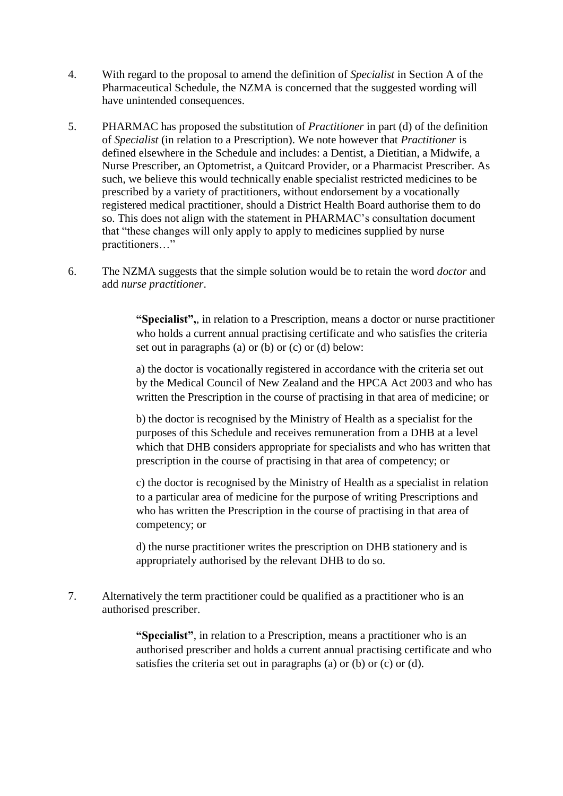- 4. With regard to the proposal to amend the definition of *Specialist* in Section A of the Pharmaceutical Schedule, the NZMA is concerned that the suggested wording will have unintended consequences.
- 5. PHARMAC has proposed the substitution of *Practitioner* in part (d) of the definition of *Specialist* (in relation to a Prescription). We note however that *Practitioner* is defined elsewhere in the Schedule and includes: a Dentist, a Dietitian, a Midwife, a Nurse Prescriber, an Optometrist, a Quitcard Provider, or a Pharmacist Prescriber. As such, we believe this would technically enable specialist restricted medicines to be prescribed by a variety of practitioners, without endorsement by a vocationally registered medical practitioner, should a District Health Board authorise them to do so. This does not align with the statement in PHARMAC's consultation document that "these changes will only apply to apply to medicines supplied by nurse practitioners…"
- 6. The NZMA suggests that the simple solution would be to retain the word *doctor* and add *nurse practitioner*.

**"Specialist",**, in relation to a Prescription, means a doctor or nurse practitioner who holds a current annual practising certificate and who satisfies the criteria set out in paragraphs (a) or (b) or  $(c)$  or  $(d)$  below:

a) the doctor is vocationally registered in accordance with the criteria set out by the Medical Council of New Zealand and the HPCA Act 2003 and who has written the Prescription in the course of practising in that area of medicine; or

b) the doctor is recognised by the Ministry of Health as a specialist for the purposes of this Schedule and receives remuneration from a DHB at a level which that DHB considers appropriate for specialists and who has written that prescription in the course of practising in that area of competency; or

c) the doctor is recognised by the Ministry of Health as a specialist in relation to a particular area of medicine for the purpose of writing Prescriptions and who has written the Prescription in the course of practising in that area of competency; or

d) the nurse practitioner writes the prescription on DHB stationery and is appropriately authorised by the relevant DHB to do so.

7. Alternatively the term practitioner could be qualified as a practitioner who is an authorised prescriber.

> **"Specialist"**, in relation to a Prescription, means a practitioner who is an authorised prescriber and holds a current annual practising certificate and who satisfies the criteria set out in paragraphs (a) or (b) or (c) or (d).